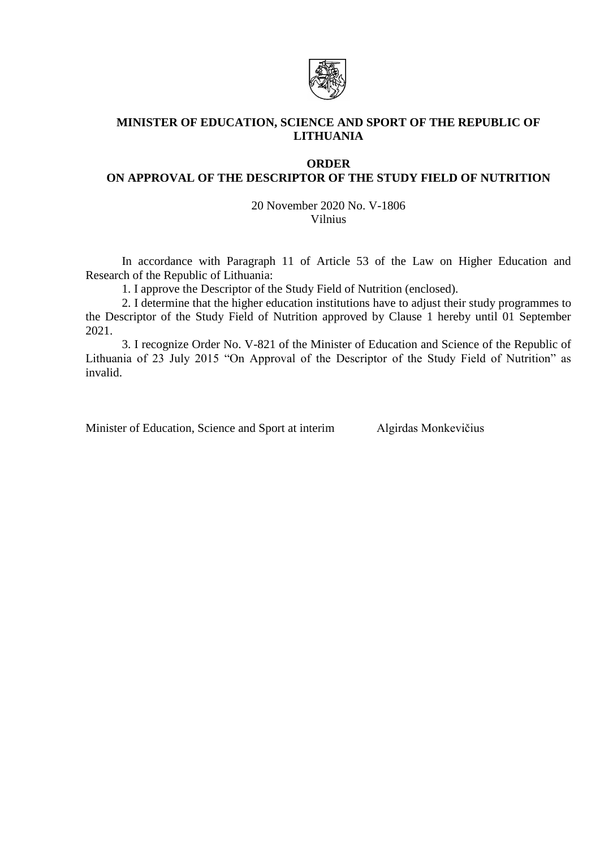

# **MINISTER OF EDUCATION, SCIENCE AND SPORT OF THE REPUBLIC OF LITHUANIA**

## **ORDER**

# **ON APPROVAL OF THE DESCRIPTOR OF THE STUDY FIELD OF NUTRITION**

20 November 2020 No. V-1806 Vilnius

In accordance with Paragraph 11 of Article 53 of the Law on Higher Education and Research of the Republic of Lithuania:

1. I approve the Descriptor of the Study Field of Nutrition (enclosed).

2. I determine that the higher education institutions have to adjust their study programmes to the Descriptor of the Study Field of Nutrition approved by Clause 1 hereby until 01 September 2021.

3. I recognize Order No. V-821 of the Minister of Education and Science of the Republic of Lithuania of 23 July 2015 "On Approval of the Descriptor of the Study Field of Nutrition" as invalid.

Minister of Education, Science and Sport at interim Algirdas Monkevičius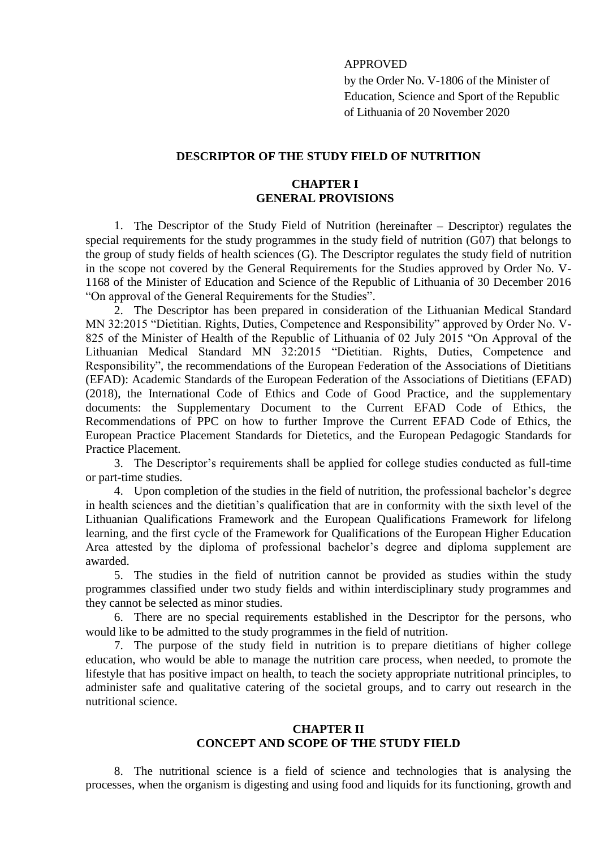### APPROVED

by the Order No. V-1806 of the Minister of Education, Science and Sport of the Republic of Lithuania of 20 November 2020

#### **DESCRIPTOR OF THE STUDY FIELD OF NUTRITION**

#### **CHAPTER I GENERAL PROVISIONS**

1. The Descriptor of the Study Field of Nutrition (hereinafter – Descriptor) regulates the special requirements for the study programmes in the study field of nutrition (G07) that belongs to the group of study fields of health sciences (G). The Descriptor regulates the study field of nutrition in the scope not covered by the General Requirements for the Studies approved by Order No. V-1168 of the Minister of Education and Science of the Republic of Lithuania of 30 December 2016 "On approval of the General Requirements for the Studies".

2. The Descriptor has been prepared in consideration of the Lithuanian Medical Standard MN 32:2015 "Dietitian. Rights, Duties, Competence and Responsibility" approved by Order No. V-825 of the Minister of Health of the Republic of Lithuania of 02 July 2015 "On Approval of the Lithuanian Medical Standard MN 32:2015 "Dietitian. Rights, Duties, Competence and Responsibility", the recommendations of the European Federation of the Associations of Dietitians (EFAD): Academic Standards of the European Federation of the Associations of Dietitians (EFAD) (2018), the International Code of Ethics and Code of Good Practice, and the supplementary documents: the Supplementary Document to the Current EFAD Code of Ethics, the Recommendations of PPC on how to further Improve the Current EFAD Code of Ethics, the European Practice Placement Standards for Dietetics, and the European Pedagogic Standards for Practice Placement.

3. The Descriptor's requirements shall be applied for college studies conducted as full-time or part-time studies.

4. Upon completion of the studies in the field of nutrition, the professional bachelor's degree in health sciences and the dietitian's qualification that are in conformity with the sixth level of the Lithuanian Qualifications Framework and the European Qualifications Framework for lifelong learning, and the first cycle of the Framework for Qualifications of the European Higher Education Area attested by the diploma of professional bachelor's degree and diploma supplement are awarded.

5. The studies in the field of nutrition cannot be provided as studies within the study programmes classified under two study fields and within interdisciplinary study programmes and they cannot be selected as minor studies.

6. There are no special requirements established in the Descriptor for the persons, who would like to be admitted to the study programmes in the field of nutrition.

7. The purpose of the study field in nutrition is to prepare dietitians of higher college education, who would be able to manage the nutrition care process, when needed, to promote the lifestyle that has positive impact on health, to teach the society appropriate nutritional principles, to administer safe and qualitative catering of the societal groups, and to carry out research in the nutritional science.

#### **CHAPTER II CONCEPT AND SCOPE OF THE STUDY FIELD**

8. The nutritional science is a field of science and technologies that is analysing the processes, when the organism is digesting and using food and liquids for its functioning, growth and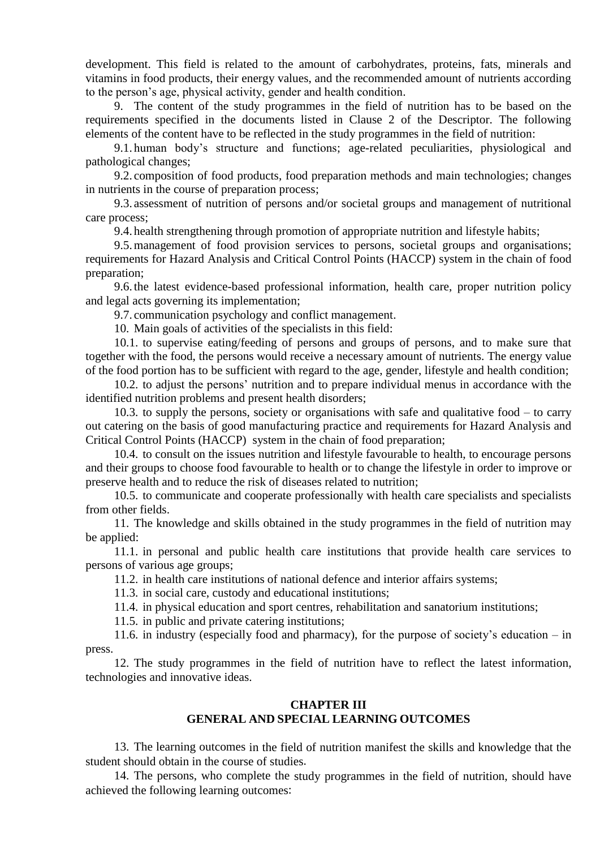development. This field is related to the amount of carbohydrates, proteins, fats, minerals and vitamins in food products, their energy values, and the recommended amount of nutrients according to the person's age, physical activity, gender and health condition.

9. The content of the study programmes in the field of nutrition has to be based on the requirements specified in the documents listed in Clause 2 of the Descriptor. The following elements of the content have to be reflected in the study programmes in the field of nutrition:

9.1. human body's structure and functions; age-related peculiarities, physiological and pathological changes;

9.2. composition of food products, food preparation methods and main technologies; changes in nutrients in the course of preparation process;

9.3. assessment of nutrition of persons and/or societal groups and management of nutritional care process;

9.4. health strengthening through promotion of appropriate nutrition and lifestyle habits;

9.5.management of food provision services to persons, societal groups and organisations; requirements for Hazard Analysis and Critical Control Points (HACCP) system in the chain of food preparation;

9.6. the latest evidence-based professional information, health care, proper nutrition policy and legal acts governing its implementation;

9.7. communication psychology and conflict management.

10. Main goals of activities of the specialists in this field:

10.1. to supervise eating/feeding of persons and groups of persons, and to make sure that together with the food, the persons would receive a necessary amount of nutrients. The energy value of the food portion has to be sufficient with regard to the age, gender, lifestyle and health condition;

10.2. to adjust the persons' nutrition and to prepare individual menus in accordance with the identified nutrition problems and present health disorders;

10.3. to supply the persons, society or organisations with safe and qualitative food – to carry out catering on the basis of good manufacturing practice and requirements for Hazard Analysis and Critical Control Points (HACCP) system in the chain of food preparation;

10.4. to consult on the issues nutrition and lifestyle favourable to health, to encourage persons and their groups to choose food favourable to health or to change the lifestyle in order to improve or preserve health and to reduce the risk of diseases related to nutrition;

10.5. to communicate and cooperate professionally with health care specialists and specialists from other fields.

11. The knowledge and skills obtained in the study programmes in the field of nutrition may be applied:

11.1. in personal and public health care institutions that provide health care services to persons of various age groups;

11.2. in health care institutions of national defence and interior affairs systems;

11.3. in social care, custody and educational institutions;

11.4. in physical education and sport centres, rehabilitation and sanatorium institutions;

11.5. in public and private catering institutions;

11.6. in industry (especially food and pharmacy), for the purpose of society's education – in press.

12. The study programmes in the field of nutrition have to reflect the latest information, technologies and innovative ideas.

### **CHAPTER III GENERAL AND SPECIAL LEARNING OUTCOMES**

13. The learning outcomes in the field of nutrition manifest the skills and knowledge that the student should obtain in the course of studies.

14. The persons, who complete the study programmes in the field of nutrition, should have achieved the following learning outcomes: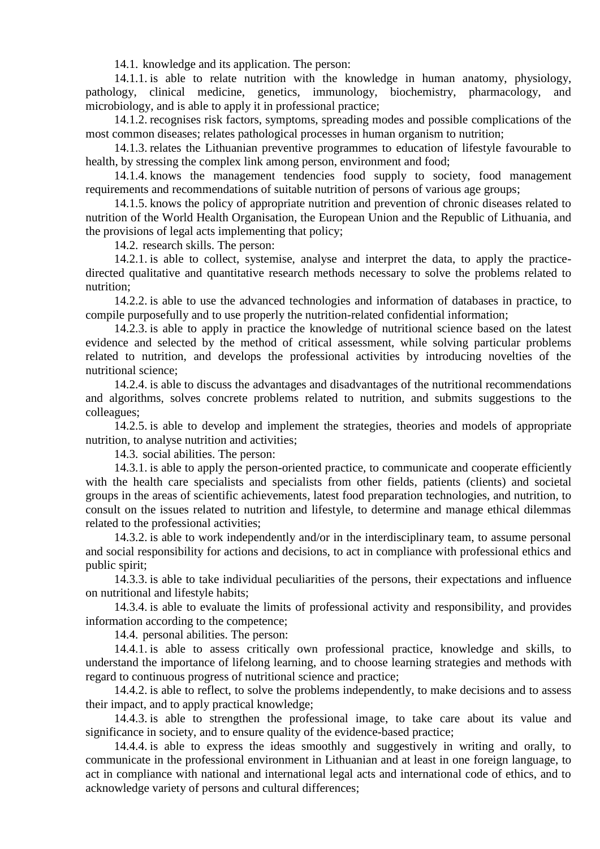14.1. knowledge and its application. The person:

14.1.1. is able to relate nutrition with the knowledge in human anatomy, physiology, pathology, clinical medicine, genetics, immunology, biochemistry, pharmacology, and microbiology, and is able to apply it in professional practice;

14.1.2. recognises risk factors, symptoms, spreading modes and possible complications of the most common diseases; relates pathological processes in human organism to nutrition;

14.1.3. relates the Lithuanian preventive programmes to education of lifestyle favourable to health, by stressing the complex link among person, environment and food;

14.1.4. knows the management tendencies food supply to society, food management requirements and recommendations of suitable nutrition of persons of various age groups;

14.1.5. knows the policy of appropriate nutrition and prevention of chronic diseases related to nutrition of the World Health Organisation, the European Union and the Republic of Lithuania, and the provisions of legal acts implementing that policy;

14.2. research skills. The person:

14.2.1. is able to collect, systemise, analyse and interpret the data, to apply the practicedirected qualitative and quantitative research methods necessary to solve the problems related to nutrition;

14.2.2. is able to use the advanced technologies and information of databases in practice, to compile purposefully and to use properly the nutrition-related confidential information;

14.2.3. is able to apply in practice the knowledge of nutritional science based on the latest evidence and selected by the method of critical assessment, while solving particular problems related to nutrition, and develops the professional activities by introducing novelties of the nutritional science;

14.2.4. is able to discuss the advantages and disadvantages of the nutritional recommendations and algorithms, solves concrete problems related to nutrition, and submits suggestions to the colleagues;

14.2.5. is able to develop and implement the strategies, theories and models of appropriate nutrition, to analyse nutrition and activities;

14.3. social abilities. The person:

14.3.1. is able to apply the person-oriented practice, to communicate and cooperate efficiently with the health care specialists and specialists from other fields, patients (clients) and societal groups in the areas of scientific achievements, latest food preparation technologies, and nutrition, to consult on the issues related to nutrition and lifestyle, to determine and manage ethical dilemmas related to the professional activities;

14.3.2. is able to work independently and/or in the interdisciplinary team, to assume personal and social responsibility for actions and decisions, to act in compliance with professional ethics and public spirit;

14.3.3. is able to take individual peculiarities of the persons, their expectations and influence on nutritional and lifestyle habits;

14.3.4. is able to evaluate the limits of professional activity and responsibility, and provides information according to the competence;

14.4. personal abilities. The person:

14.4.1. is able to assess critically own professional practice, knowledge and skills, to understand the importance of lifelong learning, and to choose learning strategies and methods with regard to continuous progress of nutritional science and practice;

14.4.2. is able to reflect, to solve the problems independently, to make decisions and to assess their impact, and to apply practical knowledge;

14.4.3. is able to strengthen the professional image, to take care about its value and significance in society, and to ensure quality of the evidence-based practice;

14.4.4. is able to express the ideas smoothly and suggestively in writing and orally, to communicate in the professional environment in Lithuanian and at least in one foreign language, to act in compliance with national and international legal acts and international code of ethics, and to acknowledge variety of persons and cultural differences;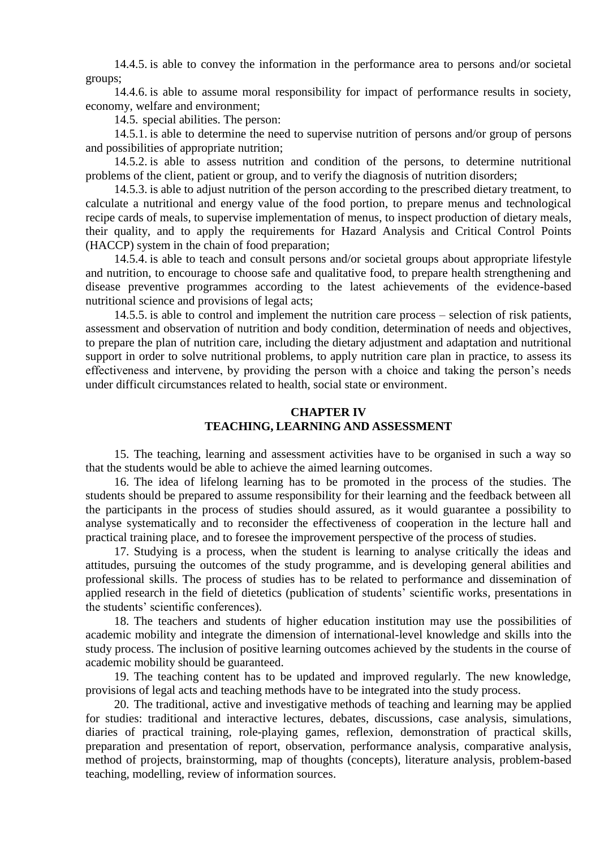14.4.5. is able to convey the information in the performance area to persons and/or societal groups;

14.4.6. is able to assume moral responsibility for impact of performance results in society, economy, welfare and environment;

14.5. special abilities. The person:

14.5.1. is able to determine the need to supervise nutrition of persons and/or group of persons and possibilities of appropriate nutrition;

14.5.2. is able to assess nutrition and condition of the persons, to determine nutritional problems of the client, patient or group, and to verify the diagnosis of nutrition disorders;

14.5.3. is able to adjust nutrition of the person according to the prescribed dietary treatment, to calculate a nutritional and energy value of the food portion, to prepare menus and technological recipe cards of meals, to supervise implementation of menus, to inspect production of dietary meals, their quality, and to apply the requirements for Hazard Analysis and Critical Control Points (HACCP) system in the chain of food preparation;

14.5.4. is able to teach and consult persons and/or societal groups about appropriate lifestyle and nutrition, to encourage to choose safe and qualitative food, to prepare health strengthening and disease preventive programmes according to the latest achievements of the evidence-based nutritional science and provisions of legal acts;

14.5.5. is able to control and implement the nutrition care process – selection of risk patients, assessment and observation of nutrition and body condition, determination of needs and objectives, to prepare the plan of nutrition care, including the dietary adjustment and adaptation and nutritional support in order to solve nutritional problems, to apply nutrition care plan in practice, to assess its effectiveness and intervene, by providing the person with a choice and taking the person's needs under difficult circumstances related to health, social state or environment.

### **CHAPTER IV TEACHING, LEARNING AND ASSESSMENT**

15. The teaching, learning and assessment activities have to be organised in such a way so that the students would be able to achieve the aimed learning outcomes.

16. The idea of lifelong learning has to be promoted in the process of the studies. The students should be prepared to assume responsibility for their learning and the feedback between all the participants in the process of studies should assured, as it would guarantee a possibility to analyse systematically and to reconsider the effectiveness of cooperation in the lecture hall and practical training place, and to foresee the improvement perspective of the process of studies.

17. Studying is a process, when the student is learning to analyse critically the ideas and attitudes, pursuing the outcomes of the study programme, and is developing general abilities and professional skills. The process of studies has to be related to performance and dissemination of applied research in the field of dietetics (publication of students' scientific works, presentations in the students' scientific conferences).

18. The teachers and students of higher education institution may use the possibilities of academic mobility and integrate the dimension of international-level knowledge and skills into the study process. The inclusion of positive learning outcomes achieved by the students in the course of academic mobility should be guaranteed.

19. The teaching content has to be updated and improved regularly. The new knowledge, provisions of legal acts and teaching methods have to be integrated into the study process.

20. The traditional, active and investigative methods of teaching and learning may be applied for studies: traditional and interactive lectures, debates, discussions, case analysis, simulations, diaries of practical training, role-playing games, reflexion, demonstration of practical skills, preparation and presentation of report, observation, performance analysis, comparative analysis, method of projects, brainstorming, map of thoughts (concepts), literature analysis, problem-based teaching, modelling, review of information sources.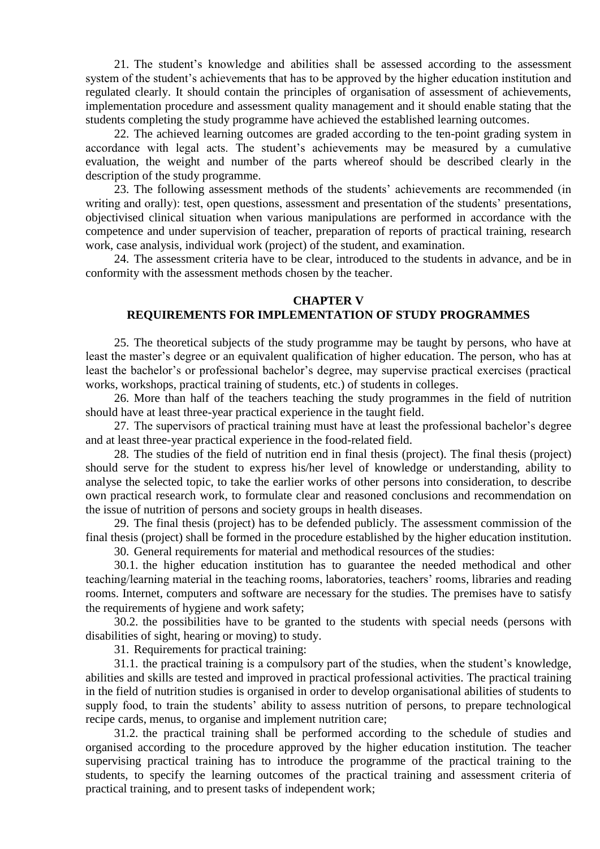21. The student's knowledge and abilities shall be assessed according to the assessment system of the student's achievements that has to be approved by the higher education institution and regulated clearly. It should contain the principles of organisation of assessment of achievements, implementation procedure and assessment quality management and it should enable stating that the students completing the study programme have achieved the established learning outcomes.

22. The achieved learning outcomes are graded according to the ten-point grading system in accordance with legal acts. The student's achievements may be measured by a cumulative evaluation, the weight and number of the parts whereof should be described clearly in the description of the study programme.

23. The following assessment methods of the students' achievements are recommended (in writing and orally): test, open questions, assessment and presentation of the students' presentations, objectivised clinical situation when various manipulations are performed in accordance with the competence and under supervision of teacher, preparation of reports of practical training, research work, case analysis, individual work (project) of the student, and examination.

24. The assessment criteria have to be clear, introduced to the students in advance, and be in conformity with the assessment methods chosen by the teacher.

#### **CHAPTER V**

### **REQUIREMENTS FOR IMPLEMENTATION OF STUDY PROGRAMMES**

25. The theoretical subjects of the study programme may be taught by persons, who have at least the master's degree or an equivalent qualification of higher education. The person, who has at least the bachelor's or professional bachelor's degree, may supervise practical exercises (practical works, workshops, practical training of students, etc.) of students in colleges.

26. More than half of the teachers teaching the study programmes in the field of nutrition should have at least three-year practical experience in the taught field.

27. The supervisors of practical training must have at least the professional bachelor's degree and at least three-year practical experience in the food-related field.

28. The studies of the field of nutrition end in final thesis (project). The final thesis (project) should serve for the student to express his/her level of knowledge or understanding, ability to analyse the selected topic, to take the earlier works of other persons into consideration, to describe own practical research work, to formulate clear and reasoned conclusions and recommendation on the issue of nutrition of persons and society groups in health diseases.

29. The final thesis (project) has to be defended publicly. The assessment commission of the final thesis (project) shall be formed in the procedure established by the higher education institution.

30. General requirements for material and methodical resources of the studies:

30.1. the higher education institution has to guarantee the needed methodical and other teaching/learning material in the teaching rooms, laboratories, teachers' rooms, libraries and reading rooms. Internet, computers and software are necessary for the studies. The premises have to satisfy the requirements of hygiene and work safety;

30.2. the possibilities have to be granted to the students with special needs (persons with disabilities of sight, hearing or moving) to study.

31. Requirements for practical training:

31.1. the practical training is a compulsory part of the studies, when the student's knowledge, abilities and skills are tested and improved in practical professional activities. The practical training in the field of nutrition studies is organised in order to develop organisational abilities of students to supply food, to train the students' ability to assess nutrition of persons, to prepare technological recipe cards, menus, to organise and implement nutrition care;

31.2. the practical training shall be performed according to the schedule of studies and organised according to the procedure approved by the higher education institution. The teacher supervising practical training has to introduce the programme of the practical training to the students, to specify the learning outcomes of the practical training and assessment criteria of practical training, and to present tasks of independent work;